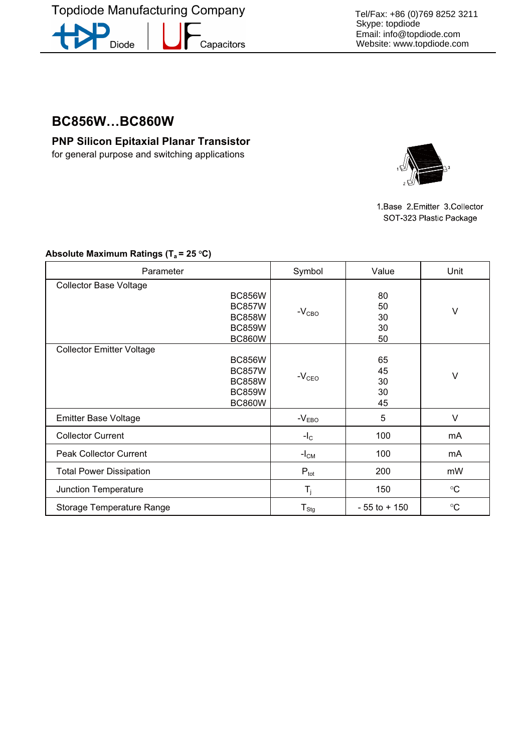**Topdiode Manufacturing Company** 

-<br>Capacitors

Diode

Tel/Fax: +86 (0)769 8252 3211 Skype: topdiode Email: info@topdiode.com Website: www.topdiode.com

**BC856W…BC860W** 

**PNP Silicon Epitaxial Planar Transistor**  for general purpose and switching applications



1 Base 2 Emitter 3 Collector SOT-323 Plastic Package

| Parameter                                                                                                             | Symbol                    | Value                      | Unit            |
|-----------------------------------------------------------------------------------------------------------------------|---------------------------|----------------------------|-----------------|
| <b>Collector Base Voltage</b><br><b>BC856W</b><br><b>BC857W</b><br><b>BC858W</b><br><b>BC859W</b><br><b>BC860W</b>    | $-VCBO$                   | 80<br>50<br>30<br>30<br>50 | V               |
| <b>Collector Emitter Voltage</b><br><b>BC856W</b><br><b>BC857W</b><br><b>BC858W</b><br><b>BC859W</b><br><b>BC860W</b> | $-VCEO$                   | 65<br>45<br>30<br>30<br>45 | V               |
| <b>Emitter Base Voltage</b>                                                                                           | $-VEBO$                   | 5                          | $\vee$          |
| <b>Collector Current</b>                                                                                              | $-I_{\rm C}$              | 100                        | mA              |
| <b>Peak Collector Current</b>                                                                                         | $-ICM$                    | 100                        | mA              |
| <b>Total Power Dissipation</b>                                                                                        | $P_{\text{tot}}$          | 200                        | mW              |
| Junction Temperature                                                                                                  | $\mathsf{T}_{\mathsf{j}}$ | 150                        | $\rm ^{\circ}C$ |
| Storage Temperature Range                                                                                             | ${\sf T}_{\sf Stg}$       | $-55$ to $+150$            | $\rm ^{\circ}C$ |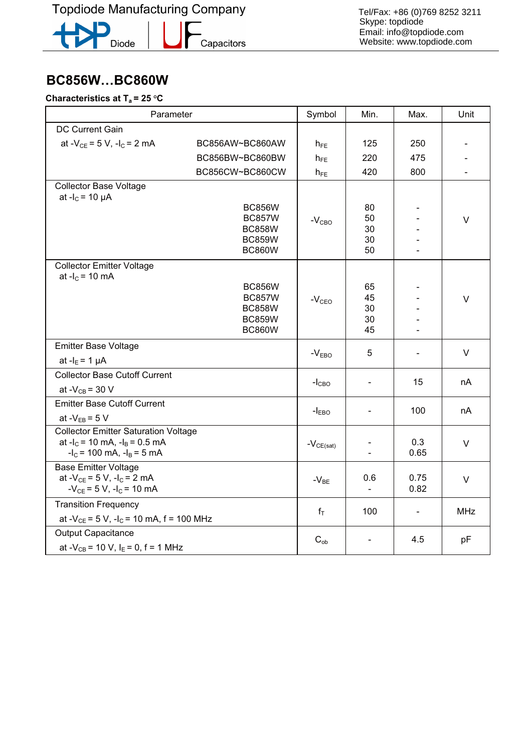R Diode

**-**<br>Capacitors

Tel/Fax: +86 (0)769 8252 3211 Skype: topdiode Email: info@topdiode.com Website: www.topdiode.com

# **Burnstanding of T** = 25 °C **Characteristics at Ta = 25 OC**

| Parameter                                                                                                              |                                                                                   | Symbol         | Min.                       | Max.         | Unit |
|------------------------------------------------------------------------------------------------------------------------|-----------------------------------------------------------------------------------|----------------|----------------------------|--------------|------|
| DC Current Gain                                                                                                        |                                                                                   |                |                            |              |      |
| at - $V_{CE}$ = 5 V, -l <sub>C</sub> = 2 mA                                                                            | BC856AW~BC860AW                                                                   | $h_{FE}$       | 125                        | 250          |      |
|                                                                                                                        | BC856BW~BC860BW                                                                   | $h_{FE}$       | 220                        | 475          |      |
|                                                                                                                        | BC856CW~BC860CW                                                                   | $h_{FE}$       | 420                        | 800          |      |
| <b>Collector Base Voltage</b>                                                                                          |                                                                                   |                |                            |              |      |
| at $-I_c = 10 \mu A$                                                                                                   | <b>BC856W</b><br><b>BC857W</b><br><b>BC858W</b><br><b>BC859W</b><br><b>BC860W</b> | $-VCBO$        | 80<br>50<br>30<br>30<br>50 |              | V    |
| <b>Collector Emitter Voltage</b>                                                                                       |                                                                                   |                |                            |              |      |
| at $-I_c = 10$ mA                                                                                                      | <b>BC856W</b><br><b>BC857W</b><br><b>BC858W</b><br><b>BC859W</b><br><b>BC860W</b> | $-VCEO$        | 65<br>45<br>30<br>30<br>45 |              | V    |
| <b>Emitter Base Voltage</b>                                                                                            |                                                                                   | $-VEBO$        | 5                          |              | V    |
| at $-IE = 1 \mu A$                                                                                                     |                                                                                   |                |                            |              |      |
| <b>Collector Base Cutoff Current</b><br>at - $V_{CB}$ = 30 V                                                           |                                                                                   | $-ICBO$        |                            | 15           | nA   |
| <b>Emitter Base Cutoff Current</b><br>at $-V_{EB} = 5 V$                                                               |                                                                                   | $-IEBO$        | $\overline{\phantom{a}}$   | 100          | nA   |
| <b>Collector Emitter Saturation Voltage</b><br>at $-I_C$ = 10 mA, $-I_B$ = 0.5 mA<br>$-IC$ = 100 mA, $-IB$ = 5 mA      |                                                                                   | $-V_{CE(sat)}$ |                            | 0.3<br>0.65  | V    |
| <b>Base Emitter Voltage</b><br>at - $V_{CE}$ = 5 V, -l <sub>C</sub> = 2 mA<br>$-V_{CE}$ = 5 V, -l <sub>C</sub> = 10 mA |                                                                                   | $-V_{BE}$      | 0.6<br>$\blacksquare$      | 0.75<br>0.82 | V    |
| <b>Transition Frequency</b>                                                                                            |                                                                                   | $f_T$          | 100                        |              | MHz  |
| at - $V_{CE}$ = 5 V, -l <sub>c</sub> = 10 mA, f = 100 MHz                                                              |                                                                                   |                |                            |              |      |
| <b>Output Capacitance</b>                                                                                              |                                                                                   | $C_{ob}$       |                            | 4.5          | pF   |
| at - $V_{CB}$ = 10 V, I <sub>E</sub> = 0, f = 1 MHz                                                                    |                                                                                   |                |                            |              |      |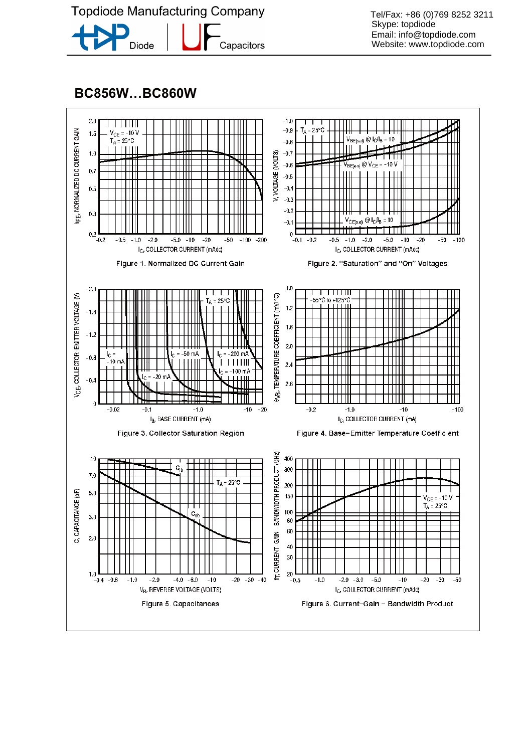**Topdiode Manufacturing Company** 



Capacitors

Tel/Fax: +86 (0)769 8252 3211 Skype: topdiode Email: info@topdiode.com Website: www.topdiode.com